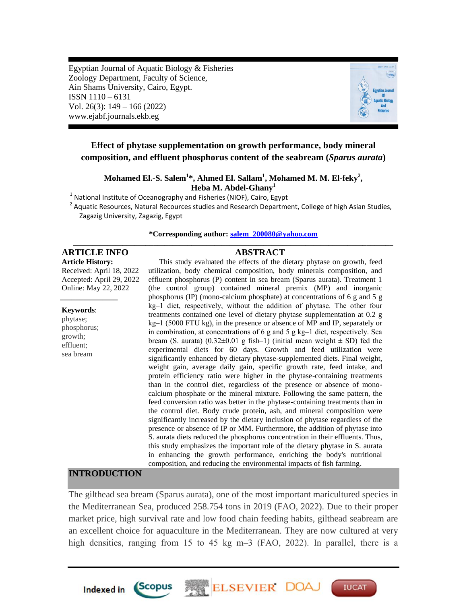Egyptian Journal of Aquatic Biology & Fisheries Zoology Department, Faculty of Science, Ain Shams University, Cairo, Egypt. ISSN 1110 – 6131 Vol. 26(3): 149 – 166 (2022) www.ejabf.journals.ekb.eg



**IUCAT** 

# **Effect of phytase supplementation on growth performance, body mineral composition, and effluent phosphorus content of the seabream (***Sparus aurata***)**

**Mohamed El.-S. Salem<sup>1</sup> \*, Ahmed El. Sallam<sup>1</sup> , Mohamed M. M. El-feky<sup>2</sup> , Heba M. Abdel-Ghany<sup>1</sup>**

 $<sup>1</sup>$  National Institute of Oceanography and Fisheries (NIOF), Cairo, Egypt</sup>

<sup>2</sup> Aquatic Resources, Natural Recources studies and Research Department, College of high Asian Studies, Zagazig University, Zagazig, Egypt

#### **\*Corresponding author: [salem\\_200080@yahoo.com](mailto:salem_200080@yahoo.com) \_\_\_\_\_\_\_\_\_\_\_\_\_\_\_\_\_\_\_\_\_\_\_\_\_\_\_\_\_\_\_\_\_\_\_\_\_\_\_\_\_\_\_\_\_\_\_\_\_\_\_\_\_\_\_\_\_\_\_\_\_\_\_\_\_\_\_\_\_\_\_\_\_\_\_\_\_\_\_\_\_\_\_\_**

## **ARTICLE INFO ABSTRACT**

**Article History:** Received: April 18, 2022 Accepted: April 29, 2022 Online: May 22, 2022

#### **Keywords**:

*\_\_\_\_\_\_\_\_\_\_\_\_\_\_\_*

phytase; phosphorus; growth; effluent; sea bream

This study evaluated the effects of the dietary phytase on growth, feed utilization, body chemical composition, body minerals composition, and effluent phosphorus (P) content in sea bream (Sparus aurata). Treatment 1 (the control group) contained mineral premix (MP) and inorganic phosphorus (IP) (mono-calcium phosphate) at concentrations of 6 g and 5 g kg‒1 diet, respectively, without the addition of phytase. The other four treatments contained one level of dietary phytase supplementation at 0.2 g kg‒1 (5000 FTU kg), in the presence or absence of MP and IP, separately or in combination, at concentrations of  $6$  g and  $5$  g kg-1 diet, respectively. Sea bream (S. aurata) (0.32±0.01 g fish-1) (initial mean weight  $\pm$  SD) fed the experimental diets for 60 days. Growth and feed utilization were significantly enhanced by dietary phytase-supplemented diets. Final weight, weight gain, average daily gain, specific growth rate, feed intake, and protein efficiency ratio were higher in the phytase-containing treatments than in the control diet, regardless of the presence or absence of monocalcium phosphate or the mineral mixture. Following the same pattern, the feed conversion ratio was better in the phytase-containing treatments than in the control diet. Body crude protein, ash, and mineral composition were significantly increased by the dietary inclusion of phytase regardless of the presence or absence of IP or MM. Furthermore, the addition of phytase into S. aurata diets reduced the phosphorus concentration in their effluents. Thus, this study emphasizes the important role of the dietary phytase in S. aurata in enhancing the growth performance, enriching the body's nutritional composition, and reducing the environmental impacts of fish farming.

#### **INTRODUCTION**

The gilthead sea bream (Sparus aurata), one of the most important maricultured species in the Mediterranean Sea, produced 258.754 tons in 2019 (FAO, 2022). Due to their proper market price, high survival rate and low food chain feeding habits, gilthead seabream are an excellent choice for aquaculture in the Mediterranean. They are now cultured at very high densities, ranging from 15 to 45 kg m–3 (FAO, 2022). In parallel, there is a



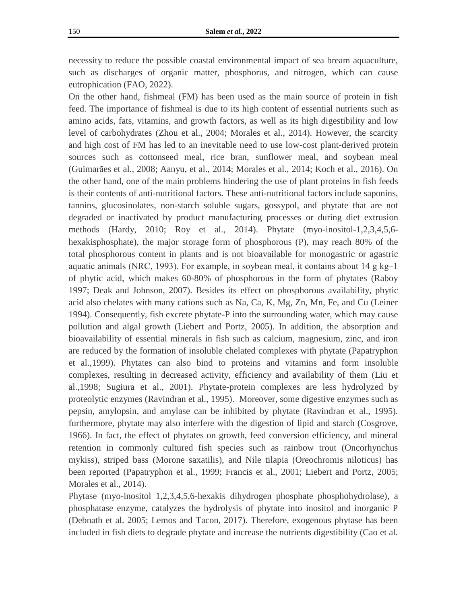necessity to reduce the possible coastal environmental impact of sea bream aquaculture, such as discharges of organic matter, phosphorus, and nitrogen, which can cause eutrophication (FAO, 2022).

On the other hand, fishmeal (FM) has been used as the main source of protein in fish feed. The importance of fishmeal is due to its high content of essential nutrients such as amino acids, fats, vitamins, and growth factors, as well as its high digestibility and low level of carbohydrates (Zhou et al., 2004; Morales et al., 2014). However, the scarcity and high cost of FM has led to an inevitable need to use low-cost plant-derived protein sources such as cottonseed meal, rice bran, sunflower meal, and soybean meal (Guimarães et al., 2008; Aanyu, et al., 2014; Morales et al., 2014; Koch et al., 2016). On the other hand, one of the main problems hindering the use of plant proteins in fish feeds is their contents of anti-nutritional factors. These anti-nutritional factors include saponins, tannins, glucosinolates, non-starch soluble sugars, gossypol, and phytate that are not degraded or inactivated by product manufacturing processes or during diet extrusion methods (Hardy, 2010; Roy et al., 2014). Phytate (myo-inositol-1,2,3,4,5,6 hexakisphosphate), the major storage form of phosphorous (P), may reach 80% of the total phosphorous content in plants and is not bioavailable for monogastric or agastric aquatic animals (NRC, 1993). For example, in soybean meal, it contains about  $14 \text{ g kg} - 1$ of phytic acid, which makes 60-80% of phosphorous in the form of phytates (Raboy 1997; Deak and Johnson, 2007). Besides its effect on phosphorous availability, phytic acid also chelates with many cations such as Na, Ca, K, Mg, Zn, Mn, Fe, and Cu (Leiner 1994). Consequently, fish excrete phytate-P into the surrounding water, which may cause pollution and algal growth (Liebert and Portz, 2005). In addition, the absorption and bioavailability of essential minerals in fish such as calcium, magnesium, zinc, and iron are reduced by the formation of insoluble chelated complexes with phytate (Papatryphon et al.,1999). Phytates can also bind to proteins and vitamins and form insoluble complexes, resulting in decreased activity, efficiency and availability of them (Liu et al.,1998; Sugiura et al., 2001). Phytate-protein complexes are less hydrolyzed by proteolytic enzymes (Ravindran et al., 1995). Moreover, some digestive enzymes such as pepsin, amylopsin, and amylase can be inhibited by phytate (Ravindran et al., 1995). furthermore, phytate may also interfere with the digestion of lipid and starch (Cosgrove, 1966). In fact, the effect of phytates on growth, feed conversion efficiency, and mineral retention in commonly cultured fish species such as rainbow trout (Oncorhynchus mykiss), striped bass (Morone saxatilis), and Nile tilapia (Oreochromis niloticus) has been reported (Papatryphon et al., 1999; Francis et al., 2001; Liebert and Portz, 2005; Morales et al., 2014).

Phytase (myo-inositol 1,2,3,4,5,6-hexakis dihydrogen phosphate phosphohydrolase), a phosphatase enzyme, catalyzes the hydrolysis of phytate into inositol and inorganic P (Debnath et al. 2005; Lemos and Tacon, 2017). Therefore, exogenous phytase has been included in fish diets to degrade phytate and increase the nutrients digestibility (Cao et al.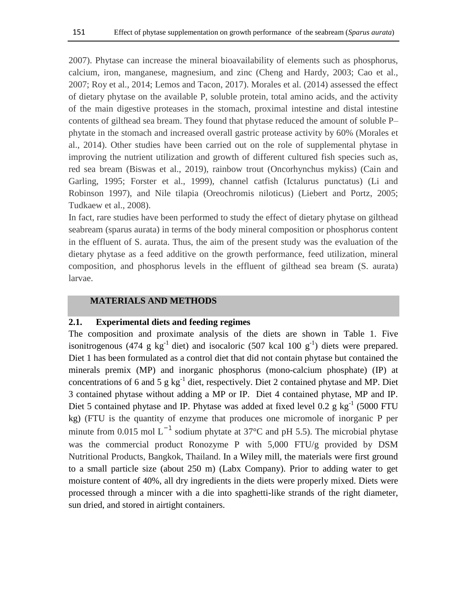2007). Phytase can increase the mineral bioavailability of elements such as phosphorus, calcium, iron, manganese, magnesium, and zinc (Cheng and Hardy, 2003; Cao et al., 2007; Roy et al., 2014; Lemos and Tacon, 2017). Morales et al. (2014) assessed the effect of dietary phytase on the available P, soluble protein, total amino acids, and the activity of the main digestive proteases in the stomach, proximal intestine and distal intestine contents of gilthead sea bream. They found that phytase reduced the amount of soluble P– phytate in the stomach and increased overall gastric protease activity by 60% (Morales et al., 2014). Other studies have been carried out on the role of supplemental phytase in improving the nutrient utilization and growth of different cultured fish species such as, red sea bream (Biswas et al., 2019), rainbow trout (Oncorhynchus mykiss) (Cain and Garling, 1995; Forster et al., 1999), channel catfish (Ictalurus punctatus) (Li and Robinson 1997), and Nile tilapia (Oreochromis niloticus) (Liebert and Portz, 2005; Tudkaew et al., 2008).

In fact, rare studies have been performed to study the effect of dietary phytase on gilthead seabream (sparus aurata) in terms of the body mineral composition or phosphorus content in the effluent of S. aurata. Thus, the aim of the present study was the evaluation of the dietary phytase as a feed additive on the growth performance, feed utilization, mineral composition, and phosphorus levels in the effluent of gilthead sea bream (S. aurata) larvae.

#### **MATERIALS AND METHODS**

#### **2.1. Experimental diets and feeding regimes**

The composition and proximate analysis of the diets are shown in Table 1. Five isonitrogenous (474 g  $kg^{-1}$  diet) and isocaloric (507 kcal 100  $g^{-1}$ ) diets were prepared. Diet 1 has been formulated as a control diet that did not contain phytase but contained the minerals premix (MP) and inorganic phosphorus (mono-calcium phosphate) (IP) at concentrations of 6 and 5  $g kg<sup>-1</sup>$  diet, respectively. Diet 2 contained phytase and MP. Diet 3 contained phytase without adding a MP or IP. Diet 4 contained phytase, MP and IP. Diet 5 contained phytase and IP. Phytase was added at fixed level 0.2  $g kg^{-1}$  (5000 FTU kg) (FTU is the quantity of enzyme that produces one micromole of inorganic P per minute from 0.015 mol L<sup>-1</sup> sodium phytate at 37°C and pH 5.5). The microbial phytase was the commercial product Ronozyme P with 5,000 FTU/g provided by DSM Nutritional Products, Bangkok, Thailand. In a Wiley mill, the materials were first ground to a small particle size (about 250 m) (Labx Company). Prior to adding water to get moisture content of 40%, all dry ingredients in the diets were properly mixed. Diets were processed through a mincer with a die into spaghetti-like strands of the right diameter, sun dried, and stored in airtight containers.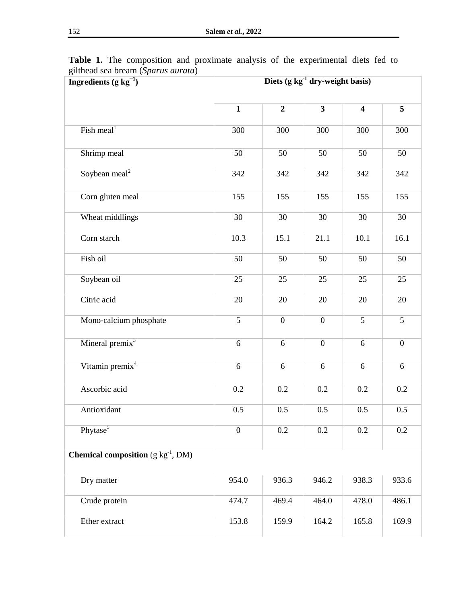| Ingredients (g $kg^{-1}$ )                      | Diets (g $kg^{-1}$ dry-weight basis) |                  |                         |                         |                  |  |
|-------------------------------------------------|--------------------------------------|------------------|-------------------------|-------------------------|------------------|--|
|                                                 | $\mathbf{1}$                         | $\overline{2}$   | $\overline{\mathbf{3}}$ | $\overline{\mathbf{4}}$ | 5                |  |
| Fish meal <sup>1</sup>                          | 300                                  | 300              | 300                     | 300                     | 300              |  |
| Shrimp meal                                     | 50                                   | 50               | 50                      | 50                      | 50               |  |
| Soybean meal <sup>2</sup>                       | 342                                  | 342              | 342                     | 342                     | 342              |  |
| Corn gluten meal                                | 155                                  | 155              | 155                     | 155                     | 155              |  |
| Wheat middlings                                 | 30                                   | 30               | 30                      | 30                      | 30               |  |
| Corn starch                                     | 10.3                                 | 15.1             | 21.1                    | 10.1                    | 16.1             |  |
| Fish oil                                        | 50                                   | 50               | 50                      | 50                      | 50               |  |
| Soybean oil                                     | 25                                   | 25               | 25                      | 25                      | 25               |  |
| Citric acid                                     | 20                                   | 20               | 20                      | 20                      | 20               |  |
| Mono-calcium phosphate                          | 5                                    | $\boldsymbol{0}$ | $\boldsymbol{0}$        | 5                       | 5                |  |
| Mineral premix <sup>3</sup>                     | $\sqrt{6}$                           | 6                | $\boldsymbol{0}$        | 6                       | $\boldsymbol{0}$ |  |
| Vitamin premix <sup>4</sup>                     | $\sqrt{6}$                           | $\sqrt{6}$       | $\sqrt{6}$              | $\sqrt{6}$              | $\sqrt{6}$       |  |
| Ascorbic acid                                   | 0.2                                  | 0.2              | 0.2                     | 0.2                     | 0.2              |  |
| Antioxidant                                     | 0.5                                  | 0.5              | 0.5                     | 0.5                     | 0.5              |  |
| Phytase <sup>5</sup>                            | $\boldsymbol{0}$                     | 0.2              | 0.2                     | 0.2                     | 0.2              |  |
| <b>Chemical composition</b> $(g \ kg^{-1}, DM)$ |                                      |                  |                         |                         |                  |  |
| Dry matter                                      | 954.0                                | 936.3            | 946.2                   | 938.3                   | 933.6            |  |
| Crude protein                                   | 474.7                                | 469.4            | 464.0                   | 478.0                   | 486.1            |  |
| Ether extract                                   | 153.8                                | 159.9            | 164.2                   | 165.8                   | 169.9            |  |

**Table 1.** The composition and proximate analysis of the experimental diets fed to gilthead sea bream (*Sparus aurata*)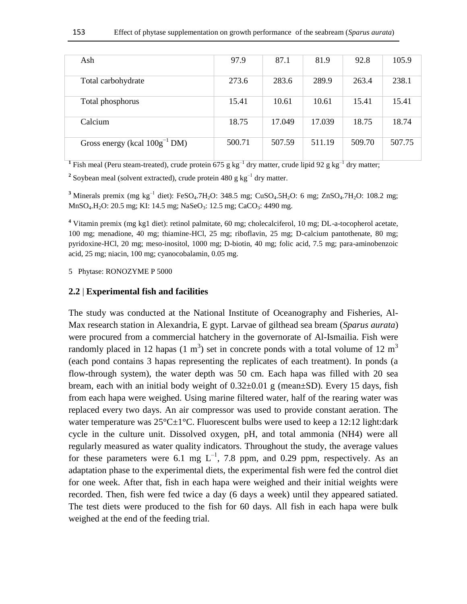| Ash                                | 97.9   | 87.1   | 81.9   | 92.8   | 105.9  |
|------------------------------------|--------|--------|--------|--------|--------|
| Total carbohydrate                 | 273.6  | 283.6  | 289.9  | 263.4  | 238.1  |
| Total phosphorus                   | 15.41  | 10.61  | 10.61  | 15.41  | 15.41  |
| Calcium                            | 18.75  | 17.049 | 17.039 | 18.75  | 18.74  |
| Gross energy (kcal $100g^{-1}$ DM) | 500.71 | 507.59 | 511.19 | 509.70 | 507.75 |

<sup>1</sup> Fish meal (Peru steam-treated), crude protein 675 g kg<sup>-1</sup> dry matter, crude lipid 92 g kg<sup>-1</sup> dry matter;

<sup>2</sup> Soybean meal (solvent extracted), crude protein 480 g  $kg^{-1}$  dry matter.

<sup>3</sup> Minerals premix (mg kg<sup>-1</sup> diet): FeSO<sub>4</sub>.7H<sub>2</sub>O: 348.5 mg; CuSO<sub>4</sub>.5H<sub>2</sub>O: 6 mg; ZnSO<sub>4</sub>.7H<sub>2</sub>O: 108.2 mg; MnSO<sub>4</sub>.H<sub>2</sub>O: 20.5 mg; KI: 14.5 mg; NaSeO<sub>3</sub>: 12.5 mg; CaCO<sub>3</sub>: 4490 mg.

**<sup>4</sup>** Vitamin premix (mg kg1 diet): retinol palmitate, 60 mg; cholecalciferol, 10 mg; DL-a-tocopherol acetate, 100 mg; menadione, 40 mg; thiamine-HCl, 25 mg; riboflavin, 25 mg; D-calcium pantothenate, 80 mg; pyridoxine-HCl, 20 mg; meso-inositol, 1000 mg; D-biotin, 40 mg; folic acid, 7.5 mg; para-aminobenzoic acid, 25 mg; niacin, 100 mg; cyanocobalamin, 0.05 mg.

5 Phytase: RONOZYME P 5000

#### **2.2** | **Experimental fish and facilities**

The study was conducted at the National Institute of Oceanography and Fisheries, Al-Max research station in Alexandria, E gypt. Larvae of gilthead sea bream (*Sparus aurata*) were procured from a commercial hatchery in the governorate of Al-Ismailia. Fish were randomly placed in 12 hapas (1 m<sup>3</sup>) set in concrete ponds with a total volume of 12 m<sup>3</sup> (each pond contains 3 hapas representing the replicates of each treatment). In ponds (a flow-through system), the water depth was 50 cm. Each hapa was filled with 20 sea bream, each with an initial body weight of  $0.32\pm0.01$  g (mean $\pm$ SD). Every 15 days, fish from each hapa were weighed. Using marine filtered water, half of the rearing water was replaced every two days. An air compressor was used to provide constant aeration. The water temperature was  $25^{\circ}$ C $\pm$ 1°C. Fluorescent bulbs were used to keep a 12:12 light:dark cycle in the culture unit. Dissolved oxygen, pH, and total ammonia (NH4) were all regularly measured as water quality indicators. Throughout the study, the average values for these parameters were 6.1 mg  $L^{-1}$ , 7.8 ppm, and 0.29 ppm, respectively. As an adaptation phase to the experimental diets, the experimental fish were fed the control diet for one week. After that, fish in each hapa were weighed and their initial weights were recorded. Then, fish were fed twice a day (6 days a week) until they appeared satiated. The test diets were produced to the fish for 60 days. All fish in each hapa were bulk weighed at the end of the feeding trial.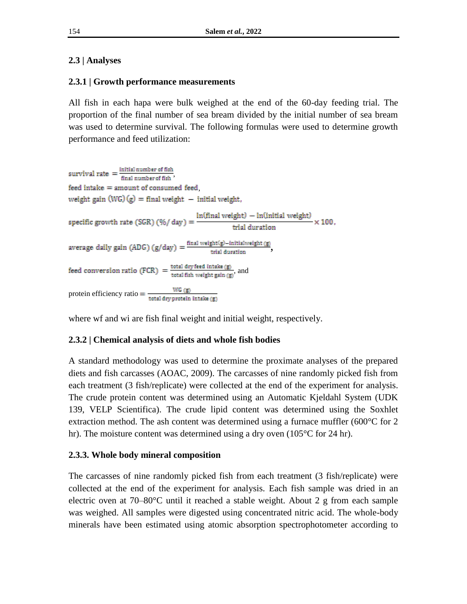# **2.3 | Analyses**

## **2.3.1 | Growth performance measurements**

All fish in each hapa were bulk weighed at the end of the 60-day feeding trial. The proportion of the final number of sea bream divided by the initial number of sea bream was used to determine survival. The following formulas were used to determine growth performance and feed utilization:

survival rate  $=$   $\frac{\text{initial number of fish}}{\text{final number of fish}}$ . feed intake = amount of consumed feed. weight gain  $(WG)(g) = \text{final weight} - \text{initial weight}$ , specific growth rate (SGR) (%/ day) =  $\frac{\ln(\text{final weight}) - \ln(\text{initial weight})}{\text{trial duration}} \times 100$ , average daily gain (ADG) ( $g$ /day) =  $\frac{final \text{ weight}(g) - initial \text{ weight}(g)}{trial \text{ duration}}$ , feed conversion ratio (FCR) =  $\frac{\text{total dry feed intake (g)}}{\text{total fish weight gain (g)}}$ , and protein efficiency ratio =  $\frac{WG(g)}{\text{total dry protein intake (g)}}$ 

where wf and wi are fish final weight and initial weight, respectively.

# **2.3.2 | Chemical analysis of diets and whole fish bodies**

A standard methodology was used to determine the proximate analyses of the prepared diets and fish carcasses (AOAC, 2009). The carcasses of nine randomly picked fish from each treatment (3 fish/replicate) were collected at the end of the experiment for analysis. The crude protein content was determined using an Automatic Kjeldahl System (UDK 139, VELP Scientifica). The crude lipid content was determined using the Soxhlet extraction method. The ash content was determined using a furnace muffler (600°C for 2 hr). The moisture content was determined using a dry oven (105<sup>o</sup>C for 24 hr).

## **2.3.3. Whole body mineral composition**

The carcasses of nine randomly picked fish from each treatment (3 fish/replicate) were collected at the end of the experiment for analysis. Each fish sample was dried in an electric oven at  $70-80^{\circ}$ C until it reached a stable weight. About 2 g from each sample was weighed. All samples were digested using concentrated nitric acid. The whole-body minerals have been estimated using atomic absorption spectrophotometer according to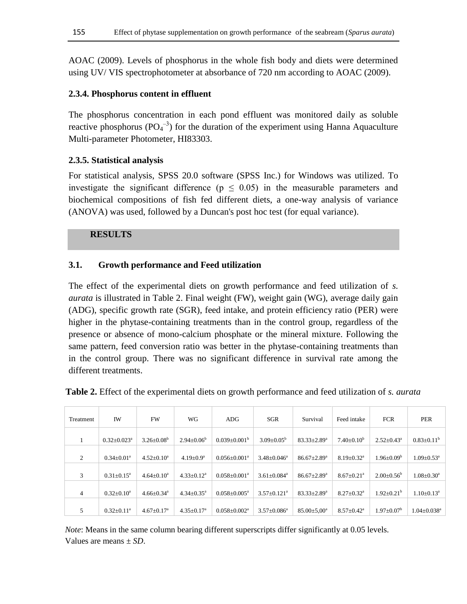AOAC (2009). Levels of phosphorus in the whole fish body and diets were determined using UV/ VIS spectrophotometer at absorbance of 720 nm according to AOAC (2009).

## **2.3.4. Phosphorus content in effluent**

The phosphorus concentration in each pond effluent was monitored daily as soluble reactive phosphorus ( $PO<sub>4</sub><sup>-3</sup>$ ) for the duration of the experiment using Hanna Aquaculture Multi-parameter Photometer, HI83303.

## **2.3.5. Statistical analysis**

For statistical analysis, SPSS 20.0 software (SPSS Inc.) for Windows was utilized. To investigate the significant difference ( $p \leq 0.05$ ) in the measurable parameters and biochemical compositions of fish fed different diets, a one-way analysis of variance (ANOVA) was used, followed by a Duncan's post hoc test (for equal variance).

### **RESULTS**

## **3.1. Growth performance and Feed utilization**

The effect of the experimental diets on growth performance and feed utilization of *s. aurata* is illustrated in Table 2. Final weight (FW), weight gain (WG), average daily gain (ADG), specific growth rate (SGR), feed intake, and protein efficiency ratio (PER) were higher in the phytase-containing treatments than in the control group, regardless of the presence or absence of mono-calcium phosphate or the mineral mixture. Following the same pattern, feed conversion ratio was better in the phytase-containing treatments than in the control group. There was no significant difference in survival rate among the different treatments.

| Treatment | <b>IW</b>                     | FW                           | WG                           | ADG                            | SGR                           | Survival                    | Feed intake                  | <b>FCR</b>              | <b>PER</b>                    |
|-----------|-------------------------------|------------------------------|------------------------------|--------------------------------|-------------------------------|-----------------------------|------------------------------|-------------------------|-------------------------------|
|           | $0.32 \pm 0.023$ <sup>a</sup> | $3.26 \pm 0.08^b$            | $2.94 \pm 0.06^b$            | $0.039+0.001b$                 | $3.09 \pm 0.05^{\rm b}$       | $83.33 \pm 2.89^a$          | $7.40 \pm 0.10^b$            | $2.52 \pm 0.43^a$       | $0.83 \pm 0.11^b$             |
| 2         | $0.34 \pm 0.01^a$             | $4.52 \pm 0.10^a$            | $4.19 \pm 0.9^a$             | $0.056 + 0.001a$               | $3.48 \pm 0.046^a$            | $86.67 + 2.89$ <sup>a</sup> | $8.19 \pm 0.32$ <sup>a</sup> | $1.96 \pm 0.09^b$       | $1.09 \pm 0.53$ <sup>a</sup>  |
| 3         | $0.31 \pm 0.15^a$             | $4.64 \pm 0.10^a$            | $4.33 \pm 0.12^a$            | $0.058 \pm 0.001^a$            | $3.61 \pm 0.084$ <sup>a</sup> | $86.67 \pm 2.89^{\text{a}}$ | $8.67 \pm 0.21$ <sup>a</sup> | $2.00 \pm 0.56^{\circ}$ | $1.08 \pm 0.30^a$             |
| 4         | $0.32 \pm 0.10^a$             | $4.66 \pm 0.34$ <sup>a</sup> | $4.34 \pm 0.35$ <sup>a</sup> | $0.058 \pm 0.005^{\text{a}}$   | $3.57 \pm 0.121$ <sup>a</sup> | $83.33 \pm 2.89^a$          | $8.27 \pm 0.32$ <sup>a</sup> | $1.92 \pm 0.21^{\rm b}$ | $1.10 \pm 0.13^a$             |
| 5         | $0.32 \pm 0.11^a$             | $4.67 \pm 0.17$ <sup>a</sup> | $4.35 \pm 0.17^{\text{a}}$   | $0.058 \pm 0.002$ <sup>a</sup> | $3.57 \pm 0.086^a$            | $85.00 \pm 5.00^{\circ}$    | $8.57 \pm 0.42^{\circ}$      | $1.97 \pm 0.07^b$       | $1.04 \pm 0.038$ <sup>a</sup> |

**Table 2.** Effect of the experimental diets on growth performance and feed utilization of *s. aurata*

*Note*: Means in the same column bearing different superscripts differ significantly at 0.05 levels. Values are means ± *SD*.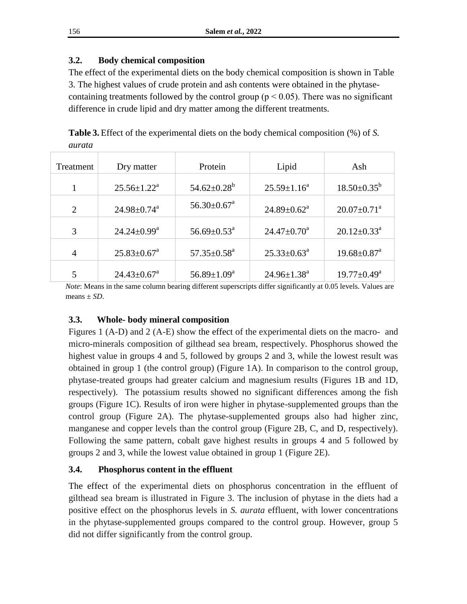# **3.2. Body chemical composition**

The effect of the experimental diets on the body chemical composition is shown in Table 3. The highest values of crude protein and ash contents were obtained in the phytasecontaining treatments followed by the control group ( $p < 0.05$ ). There was no significant difference in crude lipid and dry matter among the different treatments.

**Table 3.** Effect of the experimental diets on the body chemical composition (%) of *S. aurata*

| Treatment      | Dry matter                    | Protein                       | Lipid                       | Ash                           |  |
|----------------|-------------------------------|-------------------------------|-----------------------------|-------------------------------|--|
|                | $25.56 \pm 1.22^{\text{a}}$   | $54.62 \pm 0.28^{\rm b}$      | $25.59 \pm 1.16^a$          | $18.50 \pm 0.35^{\rm b}$      |  |
| $\overline{2}$ | $24.98 \pm 0.74$ <sup>a</sup> | $56.30 \pm 0.67$ <sup>a</sup> | $24.89 \pm 0.62^{\text{a}}$ | $20.07 \pm 0.71$ <sup>a</sup> |  |
| 3              | $24.24 \pm 0.99^{\text{a}}$   | $56.69 \pm 0.53^{\text{a}}$   | $24.47 \pm 0.70^a$          | $20.12 \pm 0.33^{\text{a}}$   |  |
| $\overline{4}$ | $25.83 \pm 0.67^{\text{a}}$   | $57.35 \pm 0.58^{\text{a}}$   | $25.33 \pm 0.63^{\text{a}}$ | $19.68 \pm 0.87$ <sup>a</sup> |  |
|                | $24.43 \pm 0.67$ <sup>a</sup> | $56.89 \pm 1.09^{\mathrm{a}}$ | $24.96 \pm 1.38^a$          | $19.77 \pm 0.49^{\text{a}}$   |  |

*Note*: Means in the same column bearing different superscripts differ significantly at 0.05 levels. Values are means ± *SD*.

# **3.3. Whole- body mineral composition**

Figures 1 (A-D) and 2 (A-E) show the effect of the experimental diets on the macro- and micro-minerals composition of gilthead sea bream, respectively. Phosphorus showed the highest value in groups 4 and 5, followed by groups 2 and 3, while the lowest result was obtained in group 1 (the control group) (Figure 1A). In comparison to the control group, phytase-treated groups had greater calcium and magnesium results (Figures 1B and 1D, respectively). The potassium results showed no significant differences among the fish groups (Figure 1C). Results of iron were higher in phytase-supplemented groups than the control group (Figure 2A). The phytase-supplemented groups also had higher zinc, manganese and copper levels than the control group (Figure 2B, C, and D, respectively). Following the same pattern, cobalt gave highest results in groups 4 and 5 followed by groups 2 and 3, while the lowest value obtained in group 1 (Figure 2E).

# **3.4. Phosphorus content in the effluent**

The effect of the experimental diets on phosphorus concentration in the effluent of gilthead sea bream is illustrated in Figure 3. The inclusion of phytase in the diets had a positive effect on the phosphorus levels in *S. aurata* effluent, with lower concentrations in the phytase-supplemented groups compared to the control group. However, group 5 did not differ significantly from the control group.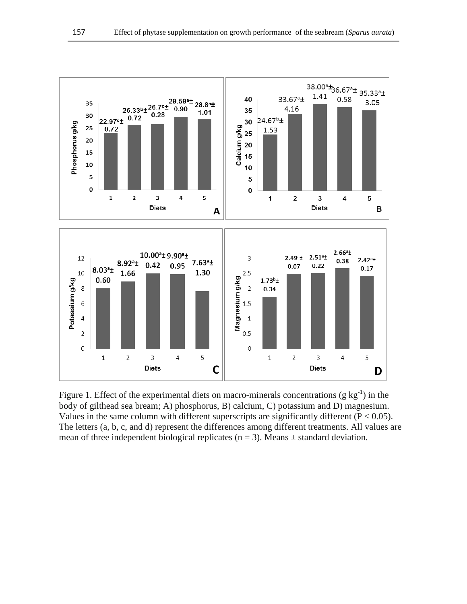

Figure 1. Effect of the experimental diets on macro-minerals concentrations (g  $kg^{-1}$ ) in the body of gilthead sea bream; A) phosphorus, B) calcium, C) potassium and D) magnesium. Values in the same column with different superscripts are significantly different ( $P < 0.05$ ). The letters (a, b, c, and d) represent the differences among different treatments. All values are mean of three independent biological replicates ( $n = 3$ ). Means  $\pm$  standard deviation.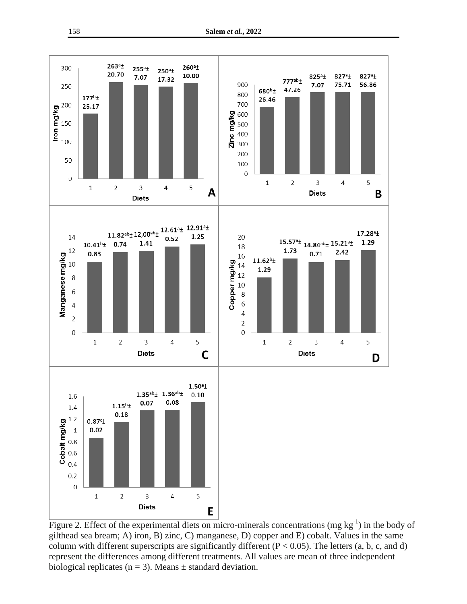

Figure 2. Effect of the experimental diets on micro-minerals concentrations (mg  $kg^{-1}$ ) in the body of gilthead sea bream; A) iron, B) zinc, C) manganese, D) copper and E) cobalt. Values in the same column with different superscripts are significantly different  $(P < 0.05)$ . The letters  $(a, b, c, and d)$ represent the differences among different treatments. All values are mean of three independent biological replicates ( $n = 3$ ). Means  $\pm$  standard deviation.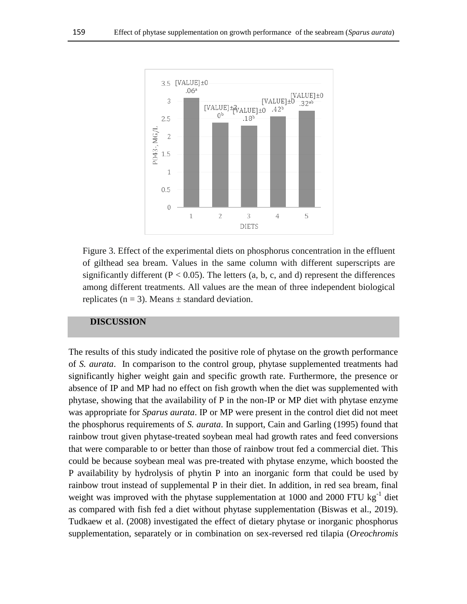

Figure 3. Effect of the experimental diets on phosphorus concentration in the effluent of gilthead sea bream. Values in the same column with different superscripts are significantly different ( $P < 0.05$ ). The letters (a, b, c, and d) represent the differences among different treatments. All values are the mean of three independent biological replicates ( $n = 3$ ). Means  $\pm$  standard deviation.

#### **DISCUSSION**

The results of this study indicated the positive role of phytase on the growth performance of *S. aurata*. In comparison to the control group, phytase supplemented treatments had significantly higher weight gain and specific growth rate. Furthermore, the presence or absence of IP and MP had no effect on fish growth when the diet was supplemented with phytase, showing that the availability of P in the non-IP or MP diet with phytase enzyme was appropriate for *Sparus aurata*. IP or MP were present in the control diet did not meet the phosphorus requirements of *S. aurata*. In support, Cain and Garling (1995) found that rainbow trout given phytase-treated soybean meal had growth rates and feed conversions that were comparable to or better than those of rainbow trout fed a commercial diet. This could be because soybean meal was pre-treated with phytase enzyme, which boosted the P availability by hydrolysis of phytin P into an inorganic form that could be used by rainbow trout instead of supplemental P in their diet. In addition, in red sea bream, final weight was improved with the phytase supplementation at  $1000$  and  $2000$  FTU kg<sup>-1</sup> diet as compared with fish fed a diet without phytase supplementation (Biswas et al., 2019). Tudkaew et al. (2008) investigated the effect of dietary phytase or inorganic phosphorus supplementation, separately or in combination on sex-reversed red tilapia (*Oreochromis*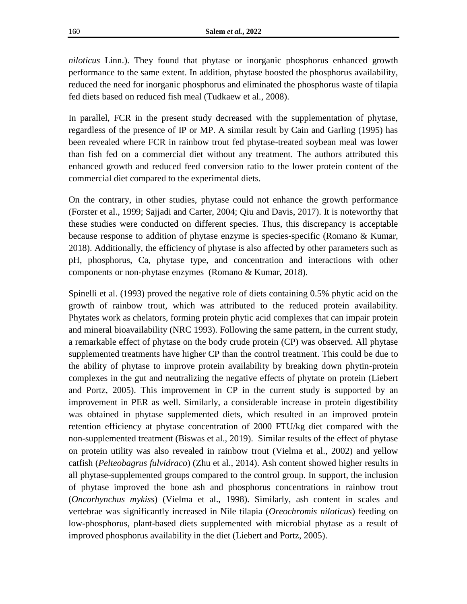*niloticus* Linn.). They found that phytase or inorganic phosphorus enhanced growth performance to the same extent. In addition, phytase boosted the phosphorus availability, reduced the need for inorganic phosphorus and eliminated the phosphorus waste of tilapia fed diets based on reduced fish meal (Tudkaew et al., 2008).

In parallel, FCR in the present study decreased with the supplementation of phytase, regardless of the presence of IP or MP. A similar result by Cain and Garling (1995) has been revealed where FCR in rainbow trout fed phytase-treated soybean meal was lower than fish fed on a commercial diet without any treatment. The authors attributed this enhanced growth and reduced feed conversion ratio to the lower protein content of the commercial diet compared to the experimental diets.

On the contrary, in other studies, phytase could not enhance the growth performance (Forster et al., 1999; Sajjadi and Carter, 2004; Qiu and Davis, 2017). It is noteworthy that these studies were conducted on different species. Thus, this discrepancy is acceptable because response to addition of phytase enzyme is species-specific (Romano & Kumar, 2018). Additionally, the efficiency of phytase is also affected by other parameters such as pH, phosphorus, Ca, phytase type, and concentration and interactions with other components or non-phytase enzyme[s \(Romano](https://www.sciencedirect.com/science/article/pii/B9780128054192000046#!) & [Kumar,](https://www.sciencedirect.com/science/article/pii/B9780128054192000046#!) 2018).

Spinelli et al. (1993) proved the negative role of diets containing 0.5% phytic acid on the growth of rainbow trout, which was attributed to the reduced protein availability. Phytates work as chelators, forming protein phytic acid complexes that can impair protein and mineral bioavailability (NRC 1993). Following the same pattern, in the current study, a remarkable effect of phytase on the body crude protein (CP) was observed. All phytase supplemented treatments have higher CP than the control treatment. This could be due to the ability of phytase to improve protein availability by breaking down phytin-protein complexes in the gut and neutralizing the negative effects of phytate on protein (Liebert and Portz, 2005). This improvement in CP in the current study is supported by an improvement in PER as well. Similarly, a considerable increase in protein digestibility was obtained in phytase supplemented diets, which resulted in an improved protein retention efficiency at phytase concentration of 2000 FTU/kg diet compared with the non-supplemented treatment (Biswas et al., 2019). Similar results of the effect of phytase on protein utility was also revealed in rainbow trout (Vielma et al., 2002) and yellow catfish (*Pelteobagrus fulvidraco*) (Zhu et al., 2014). Ash content showed higher results in all phytase-supplemented groups compared to the control group. In support, the inclusion of phytase improved the bone ash and phosphorus concentrations in rainbow trout (*Oncorhynchus mykiss*) (Vielma et al., 1998). Similarly, ash content in scales and vertebrae was significantly increased in Nile tilapia (*Oreochromis niloticus*) feeding on low-phosphorus, plant-based diets supplemented with microbial phytase as a result of improved phosphorus availability in the diet (Liebert and Portz, 2005).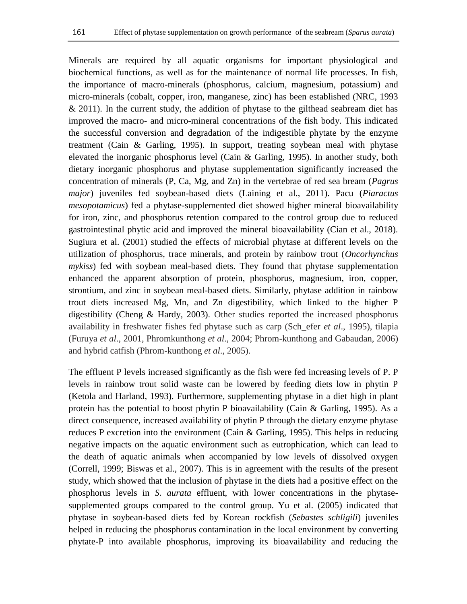Minerals are required by all aquatic organisms for important physiological and biochemical functions, as well as for the maintenance of normal life processes. In fish, the importance of macro-minerals (phosphorus, calcium, magnesium, potassium) and micro-minerals (cobalt, copper, iron, manganese, zinc) has been established (NRC, 1993  $& 2011$ ). In the current study, the addition of phytase to the gilthead seabream diet has improved the macro- and micro-mineral concentrations of the fish body. This indicated the successful conversion and degradation of the indigestible phytate by the enzyme treatment (Cain & Garling, 1995). In support, treating soybean meal with phytase elevated the inorganic phosphorus level (Cain & Garling, 1995). In another study, both dietary inorganic phosphorus and phytase supplementation significantly increased the concentration of minerals (P, Ca, Mg, and Zn) in the vertebrae of red sea bream (*Pagrus major*) juveniles fed soybean-based diets (Laining et al., 2011). Pacu (*Piaractus mesopotamicus*) fed a phytase-supplemented diet showed higher mineral bioavailability for iron, zinc, and phosphorus retention compared to the control group due to reduced gastrointestinal phytic acid and improved the mineral bioavailability (Cian et al., 2018). Sugiura et al. (2001) studied the effects of microbial phytase at different levels on the utilization of phosphorus, trace minerals, and protein by rainbow trout (*Oncorhynchus mykiss*) fed with soybean meal-based diets. They found that phytase supplementation enhanced the apparent absorption of protein, phosphorus, magnesium, iron, copper, strontium, and zinc in soybean meal-based diets. Similarly, phytase addition in rainbow trout diets increased Mg, Mn, and Zn digestibility, which linked to the higher P digestibility (Cheng & Hardy, 2003). Other studies reported the increased phosphorus availability in freshwater fishes fed phytase such as carp (Sch\_efer *et al*., 1995), tilapia (Furuya *et al*., 2001, Phromkunthong *et al*., 2004; Phrom-kunthong and Gabaudan, 2006) and hybrid catfish (Phrom-kunthong *et al*., 2005).

The effluent P levels increased significantly as the fish were fed increasing levels of P. P levels in rainbow trout solid waste can be lowered by feeding diets low in phytin P (Ketola and Harland, 1993). Furthermore, supplementing phytase in a diet high in plant protein has the potential to boost phytin P bioavailability (Cain & Garling, 1995). As a direct consequence, increased availability of phytin P through the dietary enzyme phytase reduces P excretion into the environment (Cain  $&$  Garling, 1995). This helps in reducing negative impacts on the aquatic environment such as eutrophication, which can lead to the death of aquatic animals when accompanied by low levels of dissolved oxygen (Correll, 1999; Biswas et al., 2007). This is in agreement with the results of the present study, which showed that the inclusion of phytase in the diets had a positive effect on the phosphorus levels in *S. aurata* effluent, with lower concentrations in the phytasesupplemented groups compared to the control group. Yu et al. (2005) indicated that phytase in soybean-based diets fed by Korean rockfish (*Sebastes schligili*) juveniles helped in reducing the phosphorus contamination in the local environment by converting phytate-P into available phosphorus, improving its bioavailability and reducing the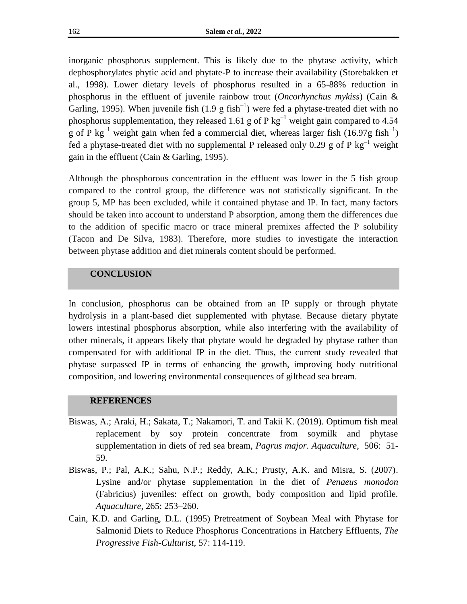inorganic phosphorus supplement. This is likely due to the phytase activity, which dephosphorylates phytic acid and phytate-P to increase their availability (Storebakken et al., 1998). Lower dietary levels of phosphorus resulted in a 65-88% reduction in phosphorus in the effluent of juvenile rainbow trout (*Oncorhynchus mykiss*) (Cain & Garling, 1995). When juvenile fish  $(1.9 \text{ g fish}^{-1})$  were fed a phytase-treated diet with no phosphorus supplementation, they released 1.61 g of P kg<sup>-1</sup> weight gain compared to 4.54 g of P kg<sup>-1</sup> weight gain when fed a commercial diet, whereas larger fish (16.97g fish<sup>-1</sup>) fed a phytase-treated diet with no supplemental P released only 0.29 g of P  $kg^{-1}$  weight gain in the effluent (Cain & Garling, 1995).

Although the phosphorous concentration in the effluent was lower in the 5 fish group compared to the control group, the difference was not statistically significant. In the group 5, MP has been excluded, while it contained phytase and IP. In fact, many factors should be taken into account to understand P absorption, among them the differences due to the addition of specific macro or trace mineral premixes affected the P solubility (Tacon and De Silva, 1983). Therefore, more studies to investigate the interaction between phytase addition and diet minerals content should be performed.

#### **CONCLUSION**

In conclusion, phosphorus can be obtained from an IP supply or through phytate hydrolysis in a plant-based diet supplemented with phytase. Because dietary phytate lowers intestinal phosphorus absorption, while also interfering with the availability of other minerals, it appears likely that phytate would be degraded by phytase rather than compensated for with additional IP in the diet. Thus, the current study revealed that phytase surpassed IP in terms of enhancing the growth, improving body nutritional composition, and lowering environmental consequences of gilthead sea bream.

#### **REFERENCES**

- Biswas, A.; Araki, H.; Sakata, T.[;](https://www.sciencedirect.com/science/article/abs/pii/S0044848619301437#!) [Nakamori,](https://www.sciencedirect.com/science/article/abs/pii/S0044848619301437#!) T. an[d](https://www.sciencedirect.com/science/article/abs/pii/S0044848619301437#!) [Takii](https://www.sciencedirect.com/science/article/abs/pii/S0044848619301437#!) K. (2019). Optimum fish meal replacement by soy protein concentrate from soymilk and phytase supplementation in diets of red sea bream, *Pagrus major*. *Aquaculture*[,](https://www.sciencedirect.com/journal/aquaculture/vol/506/suppl/C) [506:](https://www.sciencedirect.com/journal/aquaculture/vol/506/suppl/C) 51- 59.
- Biswas, P.; Pal, A.K.; Sahu, N.P.; Reddy, A.K.; Prusty, A.K. and Misra, S. (2007). Lysine and/or phytase supplementation in the diet of *Penaeus monodon* (Fabricius) juveniles: effect on growth, body composition and lipid profile. *Aquaculture*, 265: 253–260.
- Cain, K.D. and Garling, D.L. (1995) Pretreatment of Soybean Meal with Phytase for Salmonid Diets to Reduce Phosphorus Concentrations in Hatchery Effluents, *The Progressive Fish-Culturist*, 57: 114-119.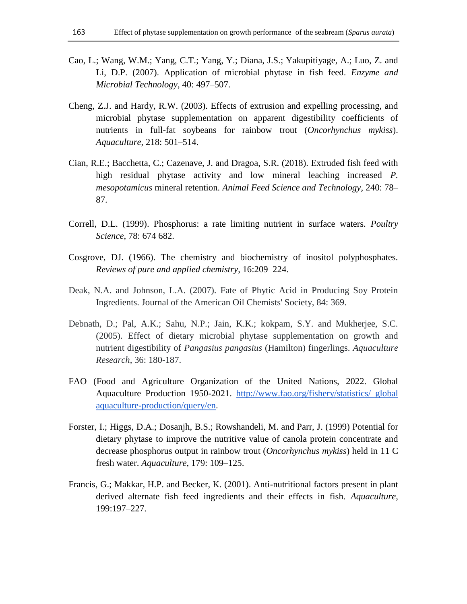- Cao, L.; Wang, W.M.; Yang, C.T.; Yang, Y.; Diana, J.S.; Yakupitiyage, A.; Luo, Z. and Li, D.P. (2007). Application of microbial phytase in fish feed. *Enzyme and Microbial Technology*, 40: 497–507.
- Cheng, Z.J. and Hardy, R.W. (2003). Effects of extrusion and expelling processing, and microbial phytase supplementation on apparent digestibility coefficients of nutrients in full-fat soybeans for rainbow trout (*Oncorhynchus mykiss*). *Aquaculture*, 218: 501–514.
- Cian, R.E.; Bacchetta, C.; Cazenave, J. and Dragoa, S.R. (2018). Extruded fish feed with high residual phytase activity and low mineral leaching increased *P. mesopotamicus* mineral retention. *Animal Feed Science and Technology,* 240: 78– 87.
- Correll, D.L. (1999). Phosphorus: a rate limiting nutrient in surface waters. *Poultry Science*, 78: 674 682.
- Cosgrove, DJ. (1966). The chemistry and biochemistry of inositol polyphosphates. *Reviews of pure and applied chemistry*, 16:209–224.
- Deak, N.A. and Johnson, L.A. (2007). Fate of Phytic Acid in Producing Soy Protein Ingredients. Journal of the American Oil Chemists' Society, 84: 369.
- Debnath, D.; Pal, A.K.; Sahu, N.P.; Jain, K.K.; kokpam, S.Y. and Mukherjee, S.C. (2005). Effect of dietary microbial phytase supplementation on growth and nutrient digestibility of *Pangasius pangasius* (Hamilton) fingerlings. *Aquaculture Research*, 36: 180-187.
- FAO (Food and Agriculture Organization of the United Nations, 2022. Global Aquaculture Production 1950-2021. [http://www.fao.org/fishery/statistics/](http://www.fao.org/fishery/statistics/globalaquaculture-production/query/en) global [aquaculture-production/query/en.](http://www.fao.org/fishery/statistics/globalaquaculture-production/query/en)
- Forster, I.; Higgs, D.A.; Dosanjh, B.S.; Rowshandeli, M. and Parr, J. (1999) Potential for dietary phytase to improve the nutritive value of canola protein concentrate and decrease phosphorus output in rainbow trout (*Oncorhynchus mykiss*) held in 11 C fresh water. *Aquaculture*, 179: 109–125.
- Francis, G.; Makkar, H.P. and Becker, K. (2001). Anti-nutritional factors present in plant derived alternate fish feed ingredients and their effects in fish. *Aquaculture*, 199:197–227.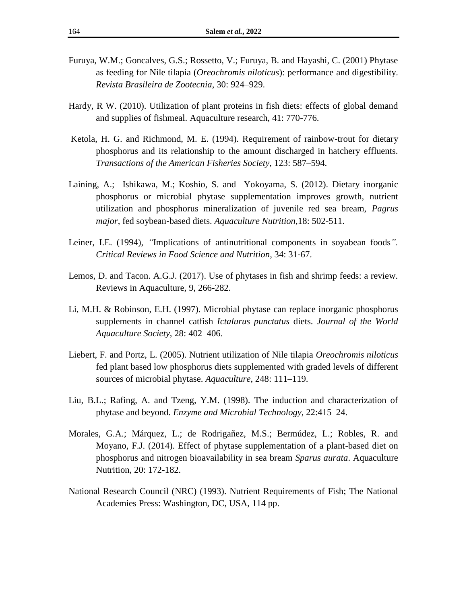- Furuya, W.M.; Goncalves, G.S.; Rossetto, V.; Furuya, B. and Hayashi, C. (2001) Phytase as feeding for Nile tilapia (*Oreochromis niloticus*): performance and digestibility. *Revista Brasileira de Zootecnia*, 30: 924–929.
- Hardy, R W. (2010). Utilization of plant proteins in fish diets: effects of global demand and supplies of fishmeal. Aquaculture research, 41: 770-776.
- [Ketola, H. G. and Richmond, M. E. \(1994\). Requirement of rainbow-trout for dietary](https://journals.scholarsportal.info/search?q=A.%20LAINING&search_in=AUTHOR&sub=)  [phosphorus and its relationship to the amount discharged in hatchery effluents.](https://journals.scholarsportal.info/search?q=A.%20LAINING&search_in=AUTHOR&sub=)  *[Transactions of the American Fisheries Society,](https://journals.scholarsportal.info/search?q=A.%20LAINING&search_in=AUTHOR&sub=)* [123: 587–594.](https://journals.scholarsportal.info/search?q=A.%20LAINING&search_in=AUTHOR&sub=)
- [Laining,](https://journals.scholarsportal.info/search?q=A.%20LAINING&search_in=AUTHOR&sub=) A.[;](https://journals.scholarsportal.info/search?q=M.%20ISHIKAWA&search_in=AUTHOR&sub=) [Ishikawa,](https://journals.scholarsportal.info/search?q=M.%20ISHIKAWA&search_in=AUTHOR&sub=) M.; [Koshio,](https://journals.scholarsportal.info/search?q=S.%20KOSHIO&search_in=AUTHOR&sub=) S. an[d](https://journals.scholarsportal.info/search?q=S.%20YOKOYAMA&search_in=AUTHOR&sub=) [Yokoyama,](https://journals.scholarsportal.info/search?q=S.%20YOKOYAMA&search_in=AUTHOR&sub=) S. (2012). Dietary inorganic phosphorus or microbial phytase supplementation improves growth, nutrient utilization and phosphorus mineralization of juvenile red sea bream, *Pagrus major*, fed soybean‐based diets[.](https://journals.scholarsportal.info/browse/13535773) *[Aquaculture Nutrition](https://journals.scholarsportal.info/browse/13535773)*,18: 502-511.
- Leiner, I.E. (1994), *"*Implications of antinutritional components in soyabean foods*". Critical Reviews in Food Science and Nutrition*, 34: 31‐67.
- Lemos, D. and Tacon. A.G.J. (2017). Use of phytases in fish and shrimp feeds: a review. Reviews in Aquaculture, 9, 266-282.
- Li, M.H. & Robinson, E.H. (1997). Microbial phytase can replace inorganic phosphorus supplements in channel catfish *Ictalurus punctatus* diets. *Journal of the World Aquaculture Society*, 28: 402–406.
- Liebert, F. and Portz, L. (2005). Nutrient utilization of Nile tilapia *Oreochromis niloticus* fed plant based low phosphorus diets supplemented with graded levels of different sources of microbial phytase. *Aquaculture*, 248: 111–119.
- Liu, B.L.; Rafing, A. and Tzeng, Y.M. (1998). The induction and characterization of phytase and beyond. *Enzyme and Microbial Technology*, 22:415–24.
- Morales, G.A.; Márquez, L.; de Rodrigañez, M.S.; Bermúdez, L.; Robles, R. and Moyano, F.J. (2014). Effect of phytase supplementation of a plant-based diet on phosphorus and nitrogen bioavailability in sea bream *Sparus aurata*. Aquaculture Nutrition, 20: 172-182.
- National Research Council (NRC) (1993). Nutrient Requirements of Fish; The National Academies Press: Washington, DC, USA, 114 pp.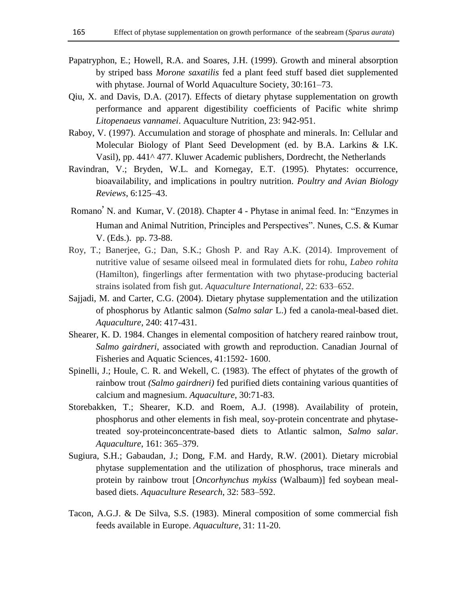- Papatryphon, E.; Howell, R.A. and Soares, J.H. (1999). Growth and mineral absorption by striped bass *Morone saxatilis* fed a plant feed stuff based diet supplemented with phytase. Journal of World Aquaculture Society, 30:161–73.
- Qiu, X. and Davis, D.A. (2017). Effects of dietary phytase supplementation on growth performance and apparent digestibility coefficients of Pacific white shrimp *Litopenaeus vannamei*. Aquaculture Nutrition, 23: 942-951.
- Raboy, V. (1997). Accumulation and storage of phosphate and minerals. In: Cellular and Molecular Biology of Plant Seed Development (ed. by B.A. Larkins & I.K. Vasil), pp. 441^ 477. Kluwer Academic publishers, Dordrecht, the Netherlands
- Ravindran, V.; Bryden, W.L. and Kornegay, E.T. (1995). Phytates: occurrence, bioavailability, and implications in poultry nutrition. *Poultry and Avian Biology Reviews*, 6:125–43.
- [Romano](https://www.sciencedirect.com/science/article/pii/B9780128054192000046#!) [,](https://www.sciencedirect.com/science/article/pii/B9780128054192000046#!) N. an[d](https://www.sciencedirect.com/science/article/pii/B9780128054192000046#!) [Kumar,](https://www.sciencedirect.com/science/article/pii/B9780128054192000046#!) V. (2018). Chapter 4 - Phytase in animal feed. In: ["Enzymes in](https://www.sciencedirect.com/science/book/9780128054192)  [Human and Animal Nutrition,](https://www.sciencedirect.com/science/book/9780128054192) Principles and Perspectives"[.](https://www.cabdirect.org/cabdirect/search/?q=ed%3a%22Nunes%2c+C.+S.%22) [Nunes, C.S.](https://www.cabdirect.org/cabdirect/search/?q=ed%3a%22Nunes%2c+C.+S.%22) & [Kumar](https://www.cabdirect.org/cabdirect/search/?q=ed%3a%22Kumar%2c+V.%22)  [V. \(Eds.\).](https://www.cabdirect.org/cabdirect/search/?q=ed%3a%22Kumar%2c+V.%22) pp. 73-88.
- Roy, T.; Banerjee, G.; Dan, S.K.; Ghosh P. and Ray A.K. (2014). Improvement of nutritive value of sesame oilseed meal in formulated diets for rohu, *Labeo rohita* (Hamilton), fingerlings after fermentation with two phytase-producing bacterial strains isolated from fish gut. *Aquaculture International*, 22: 633–652.
- Sajjadi, M. and Carter, C.G. (2004). Dietary phytase supplementation and the utilization of phosphorus by Atlantic salmon (*Salmo salar* L.) fed a canola-meal-based diet. *Aquaculture,* 240: 417-431.
- Shearer, K. D. 1984. Changes in elemental composition of hatchery reared rainbow trout, *Salmo gairdneri,* associated with growth and reproduction. Canadian Journal of Fisheries and Aquatic Sciences, 41:1592- 1600.
- Spinelli, J.; Houle, C. R. and Wekell, C. (1983). The effect of phytates of the growth of rainbow trout *(Salmo gairdneri)* fed purified diets containing various quantities of calcium and magnesium. *Aquaculture*, 30:71-83.
- Storebakken, T.; Shearer, K.D. and Roem, A.J. (1998). Availability of protein, phosphorus and other elements in fish meal, soy-protein concentrate and phytasetreated soy-proteinconcentrate-based diets to Atlantic salmon, *Salmo salar*. *Aquaculture*, 161: 365–379.
- Sugiura, S.H.; Gabaudan, J.; Dong, F.M. and Hardy, R.W. (2001). Dietary microbial phytase supplementation and the utilization of phosphorus, trace minerals and protein by rainbow trout [*Oncorhynchus mykiss* (Walbaum)] fed soybean mealbased diets. *Aquaculture Research*, 32: 583–592.
- Tacon, A.G.J. & De Silva, S.S. (1983). Mineral composition of some commercial fish feeds available in Europe. *Aquaculture,* 31: 11-20.